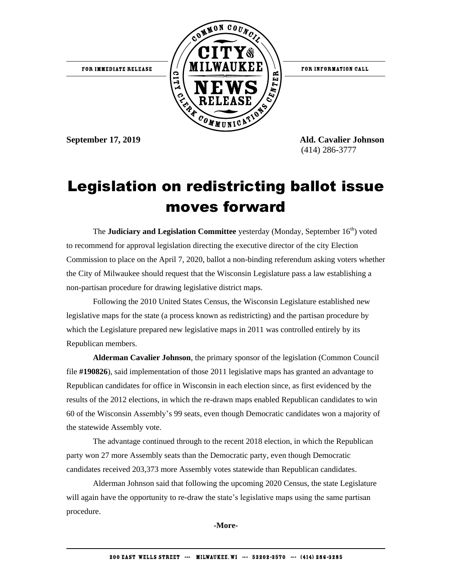

**September 17, 2019 Ald. Cavalier Johnson** (414) 286-3777

## Legislation on redistricting ballot issue moves forward

The **Judiciary and Legislation Committee** yesterday (Monday, September 16<sup>th</sup>) voted to recommend for approval legislation directing the executive director of the city Election Commission to place on the April 7, 2020, ballot a non-binding referendum asking voters whether the City of Milwaukee should request that the Wisconsin Legislature pass a law establishing a non-partisan procedure for drawing legislative district maps.

Following the 2010 United States Census, the Wisconsin Legislature established new legislative maps for the state (a process known as redistricting) and the partisan procedure by which the Legislature prepared new legislative maps in 2011 was controlled entirely by its Republican members.

**Alderman Cavalier Johnson**, the primary sponsor of the legislation (Common Council file **#190826**), said implementation of those 2011 legislative maps has granted an advantage to Republican candidates for office in Wisconsin in each election since, as first evidenced by the results of the 2012 elections, in which the re-drawn maps enabled Republican candidates to win 60 of the Wisconsin Assembly's 99 seats, even though Democratic candidates won a majority of the statewide Assembly vote.

The advantage continued through to the recent 2018 election, in which the Republican party won 27 more Assembly seats than the Democratic party, even though Democratic candidates received 203,373 more Assembly votes statewide than Republican candidates.

Alderman Johnson said that following the upcoming 2020 Census, the state Legislature will again have the opportunity to re-draw the state's legislative maps using the same partisan procedure.

**-More-**